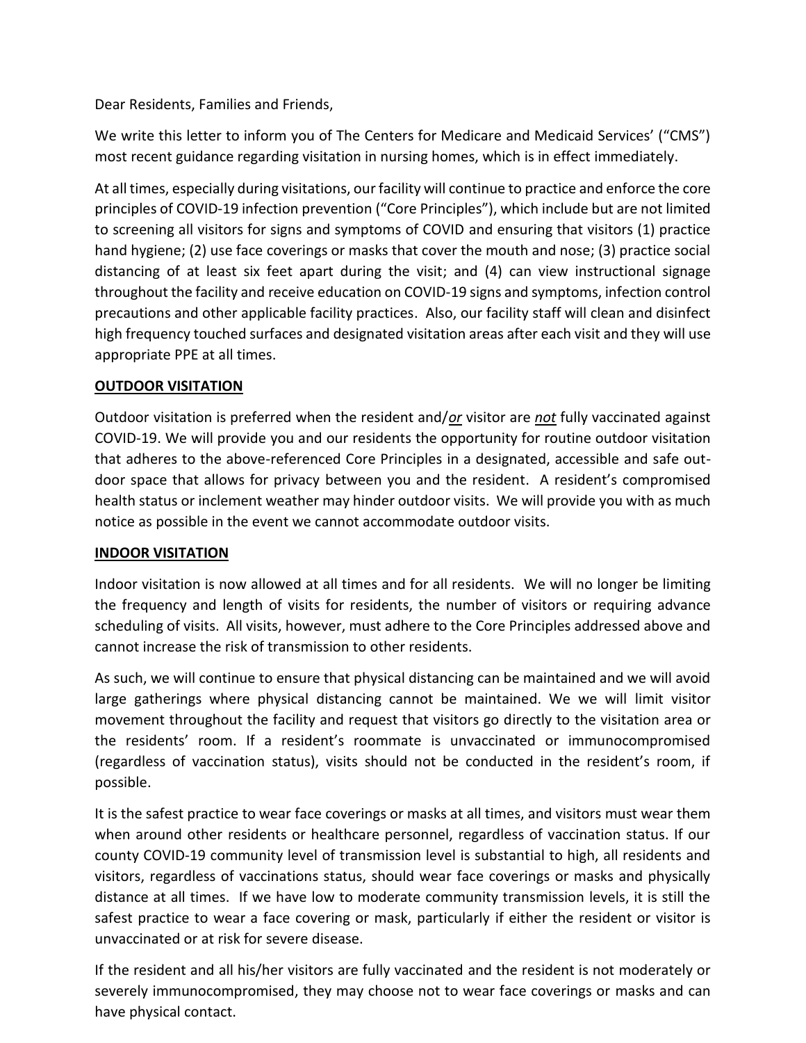Dear Residents, Families and Friends,

We write this letter to inform you of The Centers for Medicare and Medicaid Services' ("CMS") most recent guidance regarding visitation in nursing homes, which is in effect immediately.

At all times, especially during visitations, our facility will continue to practice and enforce the core principles of COVID-19 infection prevention ("Core Principles"), which include but are not limited to screening all visitors for signs and symptoms of COVID and ensuring that visitors (1) practice hand hygiene; (2) use face coverings or masks that cover the mouth and nose; (3) practice social distancing of at least six feet apart during the visit; and (4) can view instructional signage throughout the facility and receive education on COVID-19 signs and symptoms, infection control precautions and other applicable facility practices. Also, our facility staff will clean and disinfect high frequency touched surfaces and designated visitation areas after each visit and they will use appropriate PPE at all times.

## **OUTDOOR VISITATION**

Outdoor visitation is preferred when the resident and/*or* visitor are *not* fully vaccinated against COVID-19. We will provide you and our residents the opportunity for routine outdoor visitation that adheres to the above-referenced Core Principles in a designated, accessible and safe outdoor space that allows for privacy between you and the resident. A resident's compromised health status or inclement weather may hinder outdoor visits. We will provide you with as much notice as possible in the event we cannot accommodate outdoor visits.

## **INDOOR VISITATION**

Indoor visitation is now allowed at all times and for all residents. We will no longer be limiting the frequency and length of visits for residents, the number of visitors or requiring advance scheduling of visits. All visits, however, must adhere to the Core Principles addressed above and cannot increase the risk of transmission to other residents.

As such, we will continue to ensure that physical distancing can be maintained and we will avoid large gatherings where physical distancing cannot be maintained. We we will limit visitor movement throughout the facility and request that visitors go directly to the visitation area or the residents' room. If a resident's roommate is unvaccinated or immunocompromised (regardless of vaccination status), visits should not be conducted in the resident's room, if possible.

It is the safest practice to wear face coverings or masks at all times, and visitors must wear them when around other residents or healthcare personnel, regardless of vaccination status. If our county COVID-19 community level of transmission level is substantial to high, all residents and visitors, regardless of vaccinations status, should wear face coverings or masks and physically distance at all times. If we have low to moderate community transmission levels, it is still the safest practice to wear a face covering or mask, particularly if either the resident or visitor is unvaccinated or at risk for severe disease.

If the resident and all his/her visitors are fully vaccinated and the resident is not moderately or severely immunocompromised, they may choose not to wear face coverings or masks and can have physical contact.